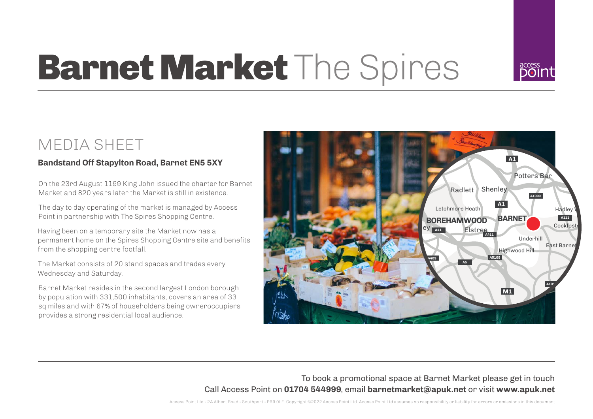

# **Barnet Market** The Spires

### MEDIA SHEET

#### **Bandstand Off Stapylton Road, Barnet EN5 5XY**

On the 23rd August 1199 King John issued the charter for Barnet Market and 820 years later the Market is still in existence.

The day to day operating of the market is managed by Access Point in partnership with The Spires Shopping Centre.

Having been on a temporary site the Market now has a permanent home on the Spires Shopping Centre site and benefits from the shopping centre footfall.

The Market consists of 20 stand spaces and trades every Wednesday and Saturday.

Barnet Market resides in the second largest London borough by population with 331,500 inhabitants, covers an area of 33 sq miles and with 67% of householders being owneroccupiers provides a strong residential local audience.



To book a promotional space at Barnet Market please get in touch Call Access Point on **01704 544999**, email **barnetmarket@apuk.net** or visit **www.apuk.net**